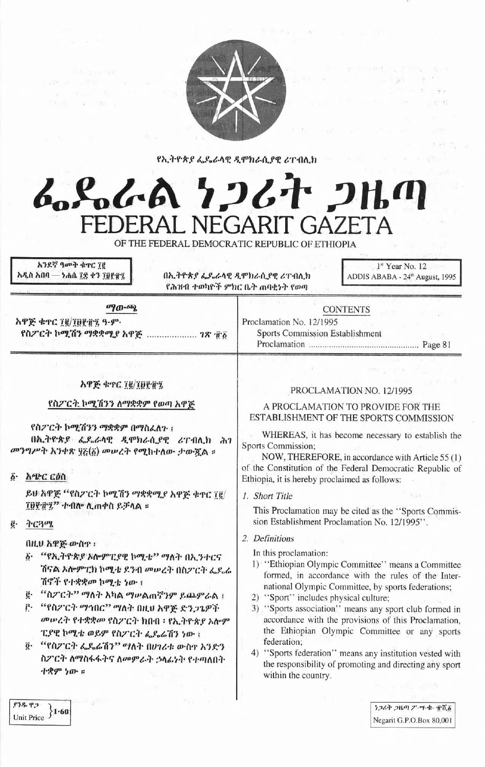

 $0.21 - x - 15$ 

Unit Price  $\overline{\left. \right\} 1.60}$ 

የኢትዮጵያ ፌዴራላዊ ዲሞክራሲያዊ ሪፐብሊክ

# んぺんよ クンムナ フルの FEDERAL NEGARIT GAZETA OF THE FEDERAL DEMOCRATIC REPUBLIC OF ETHIOPIA

|                                                                                                                                                                                                                                                                                                                                                                                                                                                                                                                                                                                                                                                                    | አንደኛ ዓመት ቁተር ፲፪<br>አዲስ አበባ — ነሐሴ ፲፰ ቀን ፲፱፻፹፯ | በኢትዮጵያ ፌዴራላዊ ዲሞክራሲያዊ ሪፐብሊክ<br>የሕዝብ ተወካዮች ምክር ቤት ጠባቂነት የወጣ                                                                                                                                                       | $1st$ Year No. 12<br>ADDIS ABABA - 24th August, 1995                                                                                                                                                                                                                                                                                                                                                                                                                                                                                                                                                                                                                                                                                                                                                                                                 |
|--------------------------------------------------------------------------------------------------------------------------------------------------------------------------------------------------------------------------------------------------------------------------------------------------------------------------------------------------------------------------------------------------------------------------------------------------------------------------------------------------------------------------------------------------------------------------------------------------------------------------------------------------------------------|----------------------------------------------|-----------------------------------------------------------------------------------------------------------------------------------------------------------------------------------------------------------------|------------------------------------------------------------------------------------------------------------------------------------------------------------------------------------------------------------------------------------------------------------------------------------------------------------------------------------------------------------------------------------------------------------------------------------------------------------------------------------------------------------------------------------------------------------------------------------------------------------------------------------------------------------------------------------------------------------------------------------------------------------------------------------------------------------------------------------------------------|
| ுற-ஆ<br>አዋጅ ቁጥር ፲፪/፲፱፻፹፯ ዓ-ም-<br>የስፖርት ኮሚሽን ማቋቋሚያ አዋጅ  ገጽ 16                                                                                                                                                                                                                                                                                                                                                                                                                                                                                                                                                                                                       |                                              | <b>CONTENTS</b><br>Proclamation No. 12/1995<br>Sports Commission Establishment                                                                                                                                  |                                                                                                                                                                                                                                                                                                                                                                                                                                                                                                                                                                                                                                                                                                                                                                                                                                                      |
| አዋጅ ቁዋር ፲፪/፲፱፻፹፯<br>የስፖርት ኮሚሽንን ለማቋቋም የወጣ አዋጅ<br>የስፖርት ኮሚሽንን ማቋቋም በማስፈለጉ ፡<br>በኢትዮጵያ ፌዴራሳዊ ዲሞክራሲያዊ ሪፐብሊክ ሕገ<br>መንግሥት አንቀጽ ፶፩(፩) መሠረት የሚከተለው ታውጇል ።<br>አጭር ርዕስ<br>$\ddot{b}$ .<br>ይሁ አዋጅ ''የስፖርት ኮሚሽን ማቋቋሚያ አዋጅ ቁዋር ፲፪/<br>፲፱፻፹፯" ተብሎ ሊጠቀስ ይቻላል ።<br>ትርጓሜ<br>ğ.<br>በዚህ አዋጅ ውስዋ ፡<br>፩ "የኢትዮጵያ አሎምፒያዊ ኮሚቴ" ማለት በኢንተርና<br>ሽናል አሎምፒክ ኮሚቴ ደንብ መሠረት በስፖርት ፌዶራ<br>ሽኖች የተቋቋመ ኮሚቴ ነው ፣<br>"ስፖርት'' ማለት አካል ማሥልጠኛንም ይጨምራል ፣<br>ë.<br>"የስፖርት ማኅበር" ማለት በዚህ አዋጅ ድንጋጌዎች<br>ŕ٠<br>መሥረት የተቋቋመ የስፖርት ክበብ ፡ የኢትዮጵያ አሎም<br>ፒያዊ ኮሚቴ ወይም የስፖርት ፌዖሬሽን ነው ፡<br>"የስፖርት ፌዴሬሽን" ማለት በሀገሪቱ ውስኖ አንድን<br>$\ddot{\mathbf{0}}$ .<br>ስፖርት ለማስፋፋትና ለመምራት ኃላፊነት የተጣለበት<br>ተቋም ነው ።<br>William String |                                              | Sports Commission;<br>Ethiopia, it is hereby proclaimed as follows:<br>1. Short Title<br>2. Definitions<br>In this proclamation:<br>2) "Sport" includes physical culture;<br>federation;<br>within the country. | PROCLAMATION NO. 12/1995<br>A PROCLAMATION TO PROVIDE FOR THE<br>ESTABLISHMENT OF THE SPORTS COMMISSION<br>WHEREAS, it has become necessary to establish the<br>NOW, THEREFORE, in accordance with Article 55 (1)<br>of the Constitution of the Federal Democratic Republic of<br>This Proclamation may be cited as the "Sports Commis-<br>sion Establishment Proclamation No. 12/1995".<br>1) "Ethiopian Olympic Committee" means a Committee<br>formed, in accordance with the rules of the Inter-<br>national Olympic Committee, by sports federations;<br>3) "Sports association" means any sport club formed in<br>accordance with the provisions of this Proclamation,<br>the Ethiopian Olympic Committee or any sports<br>4) "Sports federation" means any institution vested with<br>the responsibility of promoting and directing any sport |
|                                                                                                                                                                                                                                                                                                                                                                                                                                                                                                                                                                                                                                                                    | $-10 - 10$                                   |                                                                                                                                                                                                                 | Phone will be started in                                                                                                                                                                                                                                                                                                                                                                                                                                                                                                                                                                                                                                                                                                                                                                                                                             |

ነጋሪት ጋዜጣ ፖ-ሣ-ቀ- ፹ሺ፩ Negarit G.P.O.Box 80,001

市長

e a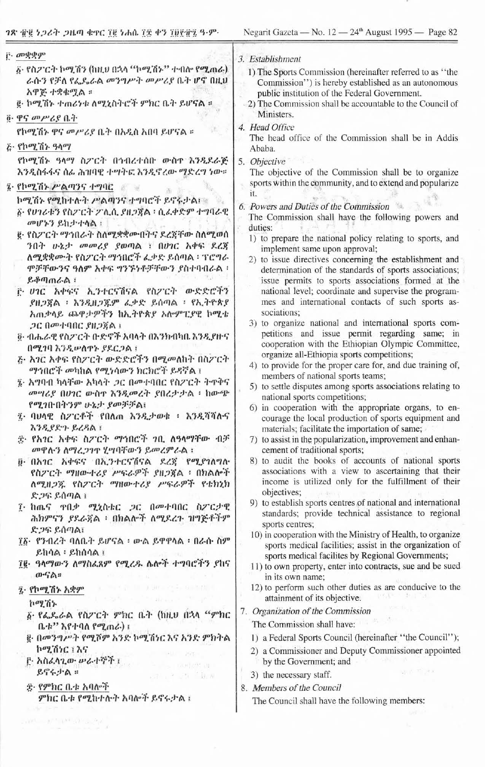$\sim$ 

| <u>ቮ· መቋቋም</u>                                                                      | 3. Establishment                                                                                                                       |
|-------------------------------------------------------------------------------------|----------------------------------------------------------------------------------------------------------------------------------------|
| δ· የስፖርት ኮሚሽን (ከዚህ በኋላ "ኮሚሽኑ" ተብሎ የሚጠራ)                                             | 1) The Sports Commission (hereinafter referred to as "the                                                                              |
| ራሱን የቻለ የፌዴራል መንግሥት መሥሪያ ቤት ሆኖ በዚህ                                                  | Commission") is hereby established as an autonomous                                                                                    |
| አዋጅ ተቋቁሟል ፡                                                                         | public institution of the Federal Government.                                                                                          |
| g ኮሚሽኑ ተጠሪነቱ ለሚኒስትሮች ምክር ቤት ይሆናል ፡፡                                                 | 2) The Commission shall be accountable to the Council of<br>Ministers.                                                                 |
| ፬· ዋና መሥሪያ ቤት                                                                       | 4. Head Office                                                                                                                         |
| የኮሚሽኑ ዋና መሥሪያ ቤት በአዲስ አበባ ይሆናል ።                                                    | The head office of the Commission shall be in Addis                                                                                    |
| ሯ የኮሚሽኑ ዓላማ                                                                         | Ababa.                                                                                                                                 |
| የኮሚሽኑ ዓላማ ስፖርት በኅብረተሰቡ ውስዋ እንዲደራጅ<br>እንዲስፋፋና ሰፊ ሕዝባዊ ተሣትፎ እንዲኖረው ማድረግ ነው።           | 5. Objective<br>The objective of the Commission shall be to organize                                                                   |
| ፤ የኮሚሽኑ ሥልጣንና ተግባር                                                                  | sports within the community, and to extend and popularize                                                                              |
| ኮሚሽኑ የሚከተሉት ሥልጣንና ተግባሮች ይኖሩታል!                                                      | īt.<br>6. Powers and Duties of the Commission                                                                                          |
| ፩· የሀገሪቱን የስፖርት ፖሊሲ ያዘጋጀል ፡ ሲፈቀድም ተግባራዊ                                             | The Commission shall have the following powers and                                                                                     |
| መሆኑን ይከታተሳል ፡                                                                       | duties:                                                                                                                                |
| <u>፪· የስፖርት ማኅበራት ስለሚቋቋሙበትና ደረጃቸው ስለሚወሰ</u><br>ንበት ሁኔታ መመሪያ ያወጣል ፣ በሀገር አቀፍ ደረጃ     | 1) to prepare the national policy relating to sports, and                                                                              |
| ለሚቋቋሙት የስፖርት ማኅበሮች ፌቃድ ይሰጣል ፡ ፕሮግራ                                                  | implement same upon approval;<br>2) to issue directives concerning the establishment and                                               |
| ሞቻቸውንና ዓለም አቀፍ ግንኙነቶቻቸውን ያስተባብራል ፡                                                  | determination of the standards of sports associations;                                                                                 |
| ይቆጣጠራል ፡                                                                            | issue permits to sports associations formed at the                                                                                     |
| <u>፫ ሀገር አቀፍና ኢንተርናሽናል የስፖርት ውድድሮችን</u>                                             | national level; coordinate and supervise the program-                                                                                  |
| ያዘጋጀል ፣ እንዲዘጋጁም ፌቃድ ይሰጣል ፣ የኢትዮጵያ<br>አጠቃላይ ጨዋታዎችን ከኢትዮጵያ አሎምፒያዊ ኮሚቴ                 | mes and international contacts of such sports as-<br>sociations;                                                                       |
| <i>ጋር በመተባበር ያዘጋ</i> ጀል ፤                                                           | 3) to organize national and international sports com-                                                                                  |
| ፬· ብሔራዊ የስፖርት ቡድኖች አባላት በእንክብካቤ እንዲያዙና                                              | petitions and issue permit regarding same; in                                                                                          |
| በሚገባ እንዲሠለዋኑ ያደርጋል ፣                                                                | cooperation with the Ethiopian Olympic Committee,<br>organize all-Ethiopia sports competitions;                                        |
| ሯ አገር አቀፍ የስፖርት ውድድሮችን በሚመለከት በስፖርት                                                 | 4) to provide for the proper care for, and due training of,                                                                            |
| <i>ማኅ</i> በሮች መካከል የሚነሳውን ክርክሮች ይዳኛል ፣                                              | members of national sports teams;                                                                                                      |
| ፯· አግባብ ካላቸው አካላት <i>ጋ</i> ር በመተባበር የስፖርት ትዋቅና<br>መሣሪያ በሀገር ውስዋ እንዲመረት ያበረታታል ፡ ከውጭ | 5) to settle disputes among sports associations relating to                                                                            |
| የሚገቡበትንም ሁኔታ ያመቻቻል፤                                                                 | national sports competitions;<br>6) in cooperation with the appropriate organs, to en-                                                 |
| ፯· ባሀላዊ ስፖርቶች የበለጠ እንዲታወቁ ፥ እንዲሻሻሱና                                                 | courage the local production of sports equipment and                                                                                   |
| እንዲያድጉ ይረዳል ፣                                                                       | materials; facilitate the importation of same;                                                                                         |
| ጅ የአገር አቀፍ ስፖርት ማኅበሮች ገቢ ለዓላማቸው ብቻ<br>መዋሉን ለማረጋገዋ ሂሣባቸውን ይመረምራል ፤                   | 7) to assist in the popularization, improvement and enhan-<br>cement of traditional sports;                                            |
| <u>፱ በአገር አቀፍና በኢንተርናሽናል ደረጀ የሚያገለግሉ</u><br>የስፖርት ማዘውተሪያ ሥፍራዎች ያዘጋጀል ፡ በክልሎች        | 8) to audit the books of accounts of national sports<br>associations with a view to ascertaining that their                            |
| ለሚዘጋጁ የስፖርት ማዘውተሪያ ሥፍራዎች የቴክኒክ                                                      | income is utilized only for the fulfillment of their                                                                                   |
| ድጋፍ ይሰጣል ፤                                                                          | objectives;                                                                                                                            |
| ፲ ከጨና ዋቢቃ ሚኒስቴር ጋር በመተባበር ስፖርታዊ<br>ሕክምናን ያደራጀል ፡ በክልሎች ለሚደረጉ ዝግጅቶችም                 | 9) to establish sports centres of national and international<br>standards; provide technical assistance to regional<br>sports centres; |
| ድጋፍ ይሰጣል፤                                                                           | 10) in cooperation with the Ministry of Health, to organize                                                                            |
| ፲፩· የንብረት ባለቤት ይሆናል ፡ ውል ይዋዋላል ፡ በራሱ ስም<br>ይከሳል ፡ ይከሰሳል ፤                           | sports medical facilities; assist in the organization of                                                                               |
| ፲፪· ዓላማውን ለማስፌጸም የሚረዱ ሴሎች ተግባሮችን ያከና                                                | sports medical facilites by Regional Governments;<br>11) to own property, enter into contracts, sue and be sued                        |
| ውናል።                                                                                | in its own name;                                                                                                                       |
| the control of the state of the con-<br>፯· የኮሚሽኑ አቋም                                | 12) to perform such other duties as are conducive to the                                                                               |
| and the company<br>ከሚሽኑ                                                             | attainment of its objective.                                                                                                           |
| ፩ የፌዴራል የስፖርት ምክር ቤት (ከዚህ በኋላ "ምክር                                                  | 7. Organization of the Commission                                                                                                      |
| ቤቱ'' እየተባለ የሚጠራ) ፤                                                                  | The Commission shall have:                                                                                                             |
| g. በመንግሥት የሚሾም አንድ ኮሚሽነር እና አንድ ምክትል                                                | 1) a Federal Sports Council (hereinafter "the Council");                                                                               |
| ኮሚሽነር ፤ እና<br>፫· አስፈላጊው ሥራተኞች ፤                                                     | 2) a Commissioner and Deputy Commissioner appointed                                                                                    |
| Fig. 1000,000 DL<br>ይኖሩታል።                                                          | by the Government; and<br><b>WAS TO PA</b>                                                                                             |
| <b>STEP VN (B.W.</b><br>ድ· የምክር ቤቱ አባሎች                                             | 3) the necessary staff.<br>8. Members of the Council                                                                                   |
| ምክር ቤቱ የሚከተሉት አባሎች ይኖሩታል ፤                                                          | The Council shall have the following members:                                                                                          |
|                                                                                     |                                                                                                                                        |

 $\overline{\phantom{a}}$ 

 $\label{eq:4} \mathcal{M}^{\mathcal{A}}\in\mathbb{R}^{M}\times\mathbb{R}^{M}\times\mathbb{R}^{M}\times\mathbb{R}^{M}$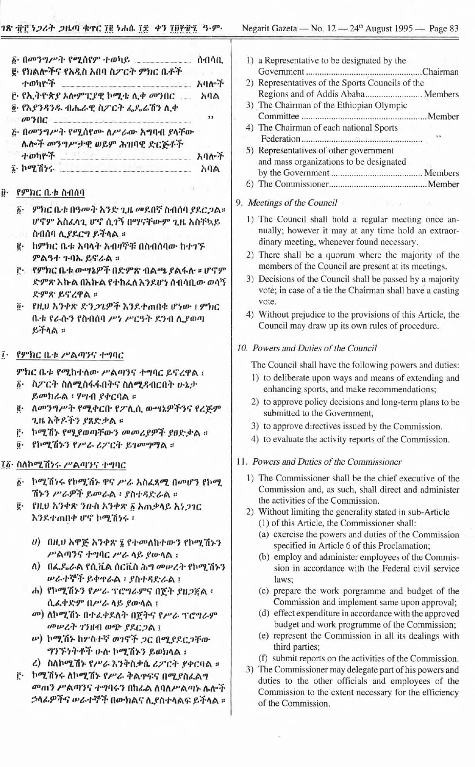| 1) a Representative to 1<br>Government<br>2) Representatives of tl<br>Regions and of Add<br>3) The Chairman of the<br>Committee<br>4) The Chairman of ea<br>Federation<br>5) Representatives of c<br>and mass organization<br>by the Government.<br>6) The Commissioner.<br>9. Meetings of the Counc<br>1) The Council shall<br>nually; however it<br>dinary meeting, whe<br>2) There shall be a qu<br>members of the Cou<br>3) Decisions of the Co<br>vote; in case of a tie<br>vote.<br>4) Without prejudice to<br>Council may draw u<br>10. Powers and Duties of<br>The Council shall hav<br>1) to deliberate upon<br>enhancing sports, a<br>2) to approve policy of<br>submitted to the G<br>3) to approve directiv |
|-------------------------------------------------------------------------------------------------------------------------------------------------------------------------------------------------------------------------------------------------------------------------------------------------------------------------------------------------------------------------------------------------------------------------------------------------------------------------------------------------------------------------------------------------------------------------------------------------------------------------------------------------------------------------------------------------------------------------|
| 4) to evaluate the acti<br>11. Powers and Duties of                                                                                                                                                                                                                                                                                                                                                                                                                                                                                                                                                                                                                                                                     |
| 1) The Commissioner<br>Commission and, as<br>the activities of the<br>2) Without limiting the<br>(1) of this Article, th<br>(a) exercise the pov<br>specified in Arti<br>(b) employ and adn<br>sion in accorda<br>laws;<br>(c) prepare the wo<br>Commission and<br>(d) effect expenditu<br>budget and wor<br>(e) represent the Co<br>third parties;<br>(f) submit reports of<br>3) The Commissioner n<br>duties to the other<br>Commission to the<br>of the Commission.                                                                                                                                                                                                                                                 |
|                                                                                                                                                                                                                                                                                                                                                                                                                                                                                                                                                                                                                                                                                                                         |

|    | <i>ivgani</i> Jazem<br>$-110.12 - 24$ August $1775 - 1$ agc 03                                                     |  |  |
|----|--------------------------------------------------------------------------------------------------------------------|--|--|
|    |                                                                                                                    |  |  |
| l. | 1) a Representative to be designated by the                                                                        |  |  |
|    | Chairman                                                                                                           |  |  |
| ŕ. | 2) Representatives of the Sports Councils of the                                                                   |  |  |
|    | Regions and of Addis Ababa Members                                                                                 |  |  |
|    | 3) The Chairman of the Ethiopian Olympic                                                                           |  |  |
|    | 4) The Chairman of each national Sports                                                                            |  |  |
|    |                                                                                                                    |  |  |
|    | 5) Representatives of other government                                                                             |  |  |
| ŕ. | and mass organizations to be designated                                                                            |  |  |
|    |                                                                                                                    |  |  |
|    |                                                                                                                    |  |  |
|    | 9. Meetings of the Council<br>The Research                                                                         |  |  |
| ×  |                                                                                                                    |  |  |
|    | 1) The Council shall hold a regular meeting once an-                                                               |  |  |
|    | nually; however it may at any time hold an extraor-<br>dinary meeting, whenever found necessary.                   |  |  |
|    | 2) There shall be a quorum where the majority of the                                                               |  |  |
|    | members of the Council are present at its meetings.                                                                |  |  |
| P  | 3) Decisions of the Council shall be passed by a majority                                                          |  |  |
| ×  | vote; in case of a tie the Chairman shall have a casting                                                           |  |  |
|    | vote.                                                                                                              |  |  |
|    | 4) Without prejudice to the provisions of this Article, the                                                        |  |  |
|    | Council may draw up its own rules of procedure.                                                                    |  |  |
|    |                                                                                                                    |  |  |
|    | 10. Powers and Duties of the Council                                                                               |  |  |
|    | The Council shall have the following powers and duties:                                                            |  |  |
|    | 1) to deliberate upon ways and means of extending and                                                              |  |  |
|    | enhancing sports, and make recommendations;                                                                        |  |  |
|    | 2) to approve policy decisions and long-term plans to be<br>submitted to the Government,                           |  |  |
|    | 3) to approve directives issued by the Commission.                                                                 |  |  |
|    | 4) to evaluate the activity reports of the Commission.                                                             |  |  |
|    |                                                                                                                    |  |  |
|    | 11. Powers and Duties of the Commissioner                                                                          |  |  |
|    | 1) The Commissioner shall be the chief executive of the                                                            |  |  |
|    | Commission and, as such, shall direct and administer                                                               |  |  |
|    | the activities of the Commission.                                                                                  |  |  |
|    | 2) Without limiting the generality stated in sub-Article                                                           |  |  |
|    | (1) of this Article, the Commissioner shall:<br>(a) exercise the powers and duties of the Commission               |  |  |
|    | specified in Article 6 of this Proclamation;                                                                       |  |  |
|    | (b) employ and administer employees of the Commis-                                                                 |  |  |
| 3  | sion in accordance with the Federal civil service                                                                  |  |  |
|    | laws;                                                                                                              |  |  |
|    | (c) prepare the work porgramme and budget of the                                                                   |  |  |
|    | Commission and implement same upon approval;                                                                       |  |  |
|    | (d) effect expenditure in accordance with the approved                                                             |  |  |
|    | budget and work programme of the Commission;                                                                       |  |  |
|    | (e) represent the Commission in all its dealings with                                                              |  |  |
|    | third parties;                                                                                                     |  |  |
|    | (f) submit reports on the activities of the Commission.<br>3) The Commissioner may delegate part of his powers and |  |  |
|    | duties to the other officials and employees of the                                                                 |  |  |
| ŕ  | Commission to the extent necessary for the efficiency                                                              |  |  |
|    |                                                                                                                    |  |  |